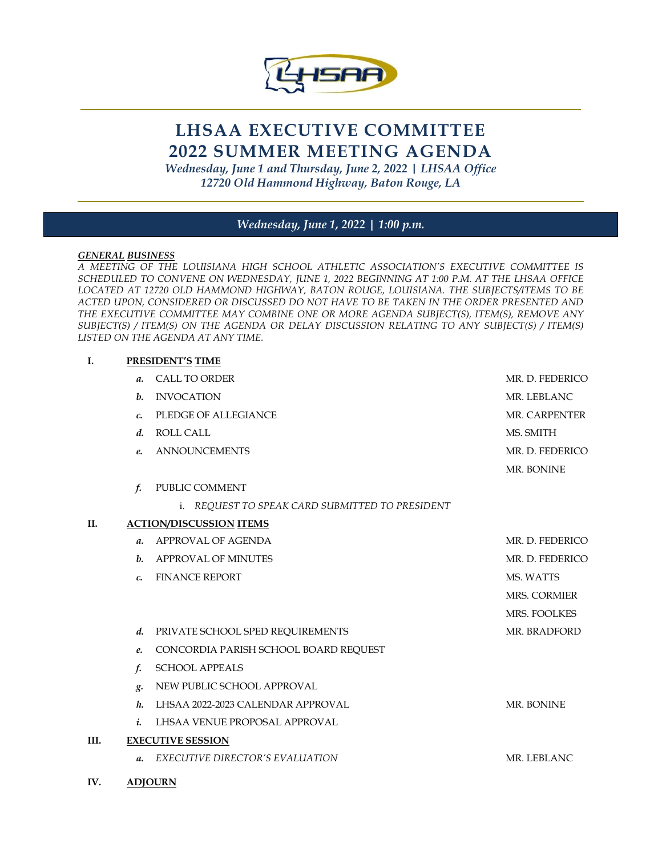

# **LHSAA EXECUTIVE COMMITTEE 2022 SUMMER MEETING AGENDA**

*Wednesday, June 1 and Thursday, June 2, 2022 | LHSAA Office 12720 Old Hammond Highway, Baton Rouge, LA* 

# *Wednesday, June 1, 2022* **|** *1:00 p.m.*

### *GENERAL BUSINESS*

*A MEETING OF THE LOUISIANA HIGH SCHOOL ATHLETIC ASSOCIATION'S EXECUTIVE COMMITTEE IS SCHEDULED TO CONVENE ON WEDNESDAY, JUNE 1, 2022 BEGINNING AT 1:00 P.M. AT THE LHSAA OFFICE LOCATED AT 12720 OLD HAMMOND HIGHWAY, BATON ROUGE, LOUISIANA. THE SUBJECTS/ITEMS TO BE ACTED UPON, CONSIDERED OR DISCUSSED DO NOT HAVE TO BE TAKEN IN THE ORDER PRESENTED AND THE EXECUTIVE COMMITTEE MAY COMBINE ONE OR MORE AGENDA SUBJECT(S), ITEM(S), REMOVE ANY SUBJECT(S) / ITEM(S) ON THE AGENDA OR DELAY DISCUSSION RELATING TO ANY SUBJECT(S) / ITEM(S) LISTED ON THE AGENDA AT ANY TIME.*

#### **I. PRESIDENT'S TIME**

|      | $\mathfrak{a}.$          | <b>CALL TO ORDER</b>                            | MR. D. FEDERICO |  |
|------|--------------------------|-------------------------------------------------|-----------------|--|
|      | b.                       | <b>INVOCATION</b>                               | MR. LEBLANC     |  |
|      | $\mathcal{C}$            | PLEDGE OF ALLEGIANCE                            | MR. CARPENTER   |  |
|      | $d_{\cdot}$              | <b>ROLL CALL</b>                                | MS. SMITH       |  |
|      | e.                       | <b>ANNOUNCEMENTS</b>                            | MR. D. FEDERICO |  |
|      |                          |                                                 | MR. BONINE      |  |
|      | f.                       | PUBLIC COMMENT                                  |                 |  |
|      |                          | i. REQUEST TO SPEAK CARD SUBMITTED TO PRESIDENT |                 |  |
| Н.   |                          | <b>ACTION/DISCUSSION ITEMS</b>                  |                 |  |
|      | $\mathfrak{a}.$          | APPROVAL OF AGENDA                              | MR. D. FEDERICO |  |
|      | $\mathbf{b}$ .           | <b>APPROVAL OF MINUTES</b>                      | MR. D. FEDERICO |  |
|      | $\mathcal{C}$            | <b>FINANCE REPORT</b>                           | MS. WATTS       |  |
|      |                          |                                                 | MRS. CORMIER    |  |
|      |                          |                                                 | MRS. FOOLKES    |  |
|      | d.                       | PRIVATE SCHOOL SPED REQUIREMENTS                | MR. BRADFORD    |  |
|      | e.                       | CONCORDIA PARISH SCHOOL BOARD REQUEST           |                 |  |
|      | f.                       | <b>SCHOOL APPEALS</b>                           |                 |  |
|      | g.                       | NEW PUBLIC SCHOOL APPROVAL                      |                 |  |
|      | h.                       | LHSAA 2022-2023 CALENDAR APPROVAL               | MR. BONINE      |  |
|      | $\dot{i}$                | LHSAA VENUE PROPOSAL APPROVAL                   |                 |  |
| III. | <b>EXECUTIVE SESSION</b> |                                                 |                 |  |
|      | $\mathfrak{a}.$          | EXECUTIVE DIRECTOR'S EVALUATION                 | MR. LEBLANC     |  |
|      |                          |                                                 |                 |  |

**IV. ADJOURN**